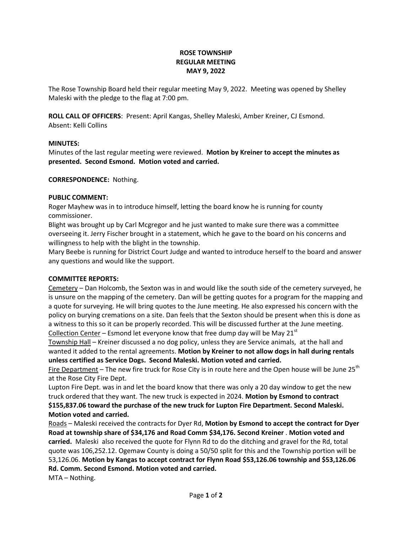## **ROSE TOWNSHIP REGULAR MEETING MAY 9, 2022**

The Rose Township Board held their regular meeting May 9, 2022. Meeting was opened by Shelley Maleski with the pledge to the flag at 7:00 pm.

**ROLL CALL OF OFFICERS**: Present: April Kangas, Shelley Maleski, Amber Kreiner, CJ Esmond. Absent: Kelli Collins

## **MINUTES:**

Minutes of the last regular meeting were reviewed. **Motion by Kreiner to accept the minutes as presented. Second Esmond. Motion voted and carried.**

## **CORRESPONDENCE:** Nothing.

## **PUBLIC COMMENT:**

Roger Mayhew was in to introduce himself, letting the board know he is running for county commissioner.

Blight was brought up by Carl Mcgregor and he just wanted to make sure there was a committee overseeing it. Jerry Fischer brought in a statement, which he gave to the board on his concerns and willingness to help with the blight in the township.

Mary Beebe is running for District Court Judge and wanted to introduce herself to the board and answer any questions and would like the support.

#### **COMMITTEE REPORTS:**

Cemetery – Dan Holcomb, the Sexton was in and would like the south side of the cemetery surveyed, he is unsure on the mapping of the cemetery. Dan will be getting quotes for a program for the mapping and a quote for surveying. He will bring quotes to the June meeting. He also expressed his concern with the policy on burying cremations on a site. Dan feels that the Sexton should be present when this is done as a witness to this so it can be properly recorded. This will be discussed further at the June meeting. Collection Center – Esmond let everyone know that free dump day will be May 21 $^{\rm st}$ 

Township Hall – Kreiner discussed a no dog policy, unless they are Service animals, at the hall and wanted it added to the rental agreements. **Motion by Kreiner to not allow dogs in hall during rentals unless certified as Service Dogs. Second Maleski. Motion voted and carried.**

Fire Department – The new fire truck for Rose City is in route here and the Open house will be June  $25<sup>th</sup>$ at the Rose City Fire Dept.

Lupton Fire Dept. was in and let the board know that there was only a 20 day window to get the new truck ordered that they want. The new truck is expected in 2024. **Motion by Esmond to contract \$155,837.06 toward the purchase of the new truck for Lupton Fire Department. Second Maleski. Motion voted and carried.**

Roads – Maleski received the contracts for Dyer Rd, **Motion by Esmond to accept the contract for Dyer Road at township share of \$34,176 and Road Comm \$34,176. Second Kreiner** . **Motion voted and carried.** Maleski also received the quote for Flynn Rd to do the ditching and gravel for the Rd, total quote was 106,252.12. Ogemaw County is doing a 50/50 split for this and the Township portion will be 53,126.06. **Motion by Kangas to accept contract for Flynn Road \$53,126.06 township and \$53,126.06 Rd. Comm. Second Esmond. Motion voted and carried.**

MTA – Nothing.